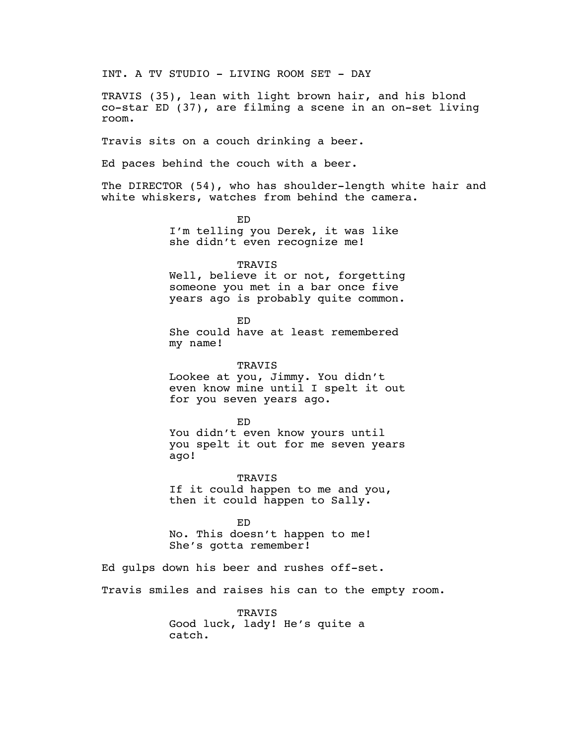INT. A TV STUDIO - LIVING ROOM SET - DAY TRAVIS (35), lean with light brown hair, and his blond co-star ED (37), are filming a scene in an on-set living room. Travis sits on a couch drinking a beer. Ed paces behind the couch with a beer. The DIRECTOR (54), who has shoulder-length white hair and white whiskers, watches from behind the camera. ED I'm telling you Derek, it was like she didn't even recognize me! TRAVIS Well, believe it or not, forgetting someone you met in a bar once five years ago is probably quite common. ED She could have at least remembered my name! TRAVIS Lookee at you, Jimmy. You didn't even know mine until I spelt it out for you seven years ago. ED You didn't even know yours until you spelt it out for me seven years ago! TRAVIS If it could happen to me and you, then it could happen to Sally. ED No. This doesn't happen to me! She's gotta remember! Ed gulps down his beer and rushes off-set. Travis smiles and raises his can to the empty room. TRAVIS Good luck, lady! He's quite a catch.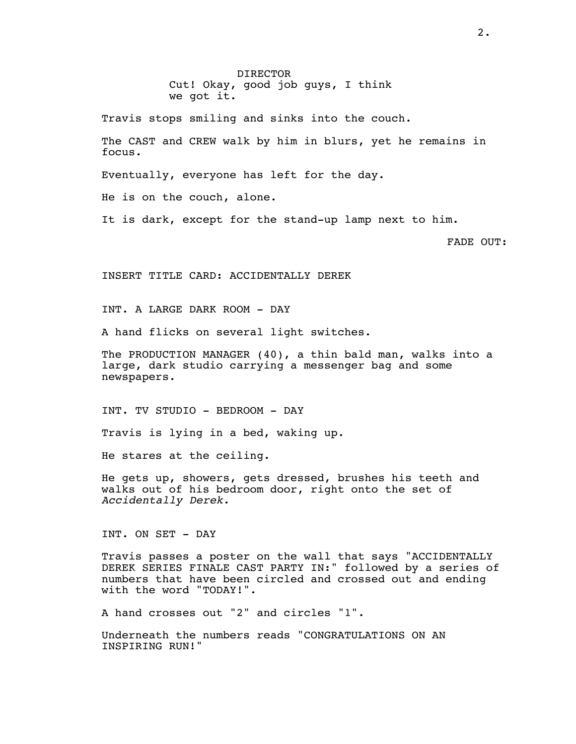DIRECTOR Cut! Okay, good job guys, I think we got it.

Travis stops smiling and sinks into the couch.

The CAST and CREW walk by him in blurs, yet he remains in focus.

Eventually, everyone has left for the day.

He is on the couch, alone.

It is dark, except for the stand-up lamp next to him.

FADE OUT:

INSERT TITLE CARD: ACCIDENTALLY DEREK

INT. A LARGE DARK ROOM - DAY

A hand flicks on several light switches.

The PRODUCTION MANAGER (40), a thin bald man, walks into a large, dark studio carrying a messenger bag and some newspapers.

INT. TV STUDIO - BEDROOM - DAY

Travis is lying in a bed, waking up.

He stares at the ceiling.

He gets up, showers, gets dressed, brushes his teeth and walks out of his bedroom door, right onto the set of *Accidentally Derek.*

INT. ON SET - DAY

Travis passes a poster on the wall that says "ACCIDENTALLY DEREK SERIES FINALE CAST PARTY IN:" followed by a series of numbers that have been circled and crossed out and ending with the word "TODAY!".

A hand crosses out "2" and circles "1".

Underneath the numbers reads "CONGRATULATIONS ON AN INSPIRING RUN!"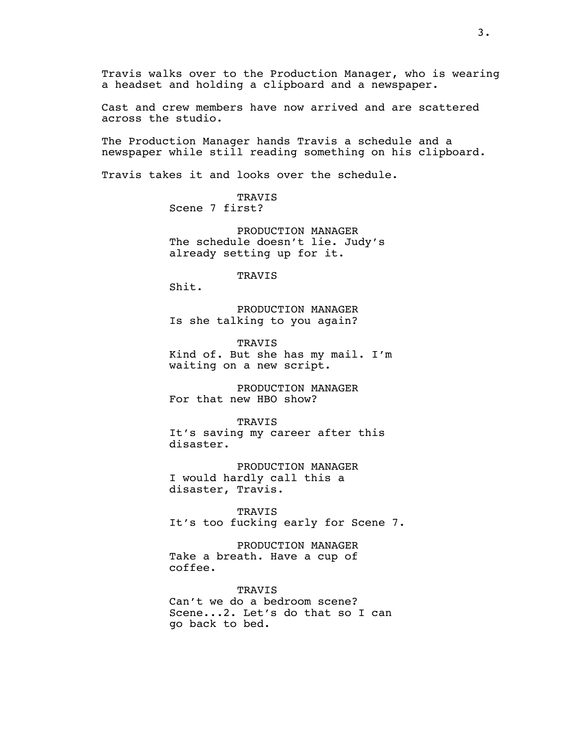Travis walks over to the Production Manager, who is wearing a headset and holding a clipboard and a newspaper.

Cast and crew members have now arrived and are scattered across the studio.

The Production Manager hands Travis a schedule and a newspaper while still reading something on his clipboard.

Travis takes it and looks over the schedule.

TRAVIS Scene 7 first?

PRODUCTION MANAGER The schedule doesn't lie. Judy's already setting up for it.

TRAVIS

Shit.

PRODUCTION MANAGER Is she talking to you again?

**TRAVIS** Kind of. But she has my mail. I'm waiting on a new script.

PRODUCTION MANAGER For that new HBO show?

TRAVIS It's saving my career after this disaster.

PRODUCTION MANAGER I would hardly call this a disaster, Travis.

TRAVIS It's too fucking early for Scene 7.

PRODUCTION MANAGER Take a breath. Have a cup of coffee.

TRAVIS Can't we do a bedroom scene? Scene...2. Let's do that so I can go back to bed.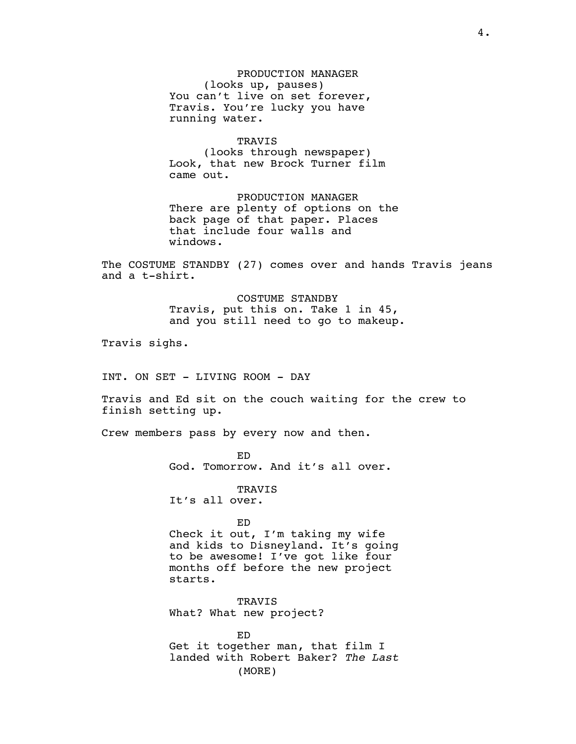PRODUCTION MANAGER (looks up, pauses) You can't live on set forever, Travis. You're lucky you have running water.

TRAVIS (looks through newspaper) Look, that new Brock Turner film came out.

PRODUCTION MANAGER There are plenty of options on the back page of that paper. Places that include four walls and windows.

The COSTUME STANDBY (27) comes over and hands Travis jeans and a t-shirt.

> COSTUME STANDBY Travis, put this on. Take 1 in 45, and you still need to go to makeup.

Travis sighs.

INT. ON SET - LIVING ROOM - DAY

Travis and Ed sit on the couch waiting for the crew to finish setting up.

Crew members pass by every now and then.

ED God. Tomorrow. And it's all over.

**TRAVIS** It's all over.

ED

Check it out, I'm taking my wife and kids to Disneyland. It's going to be awesome! I've got like four months off before the new project starts.

**TRAVIS** What? What new project?

ED Get it together man, that film I landed with Robert Baker? *The Last* (MORE)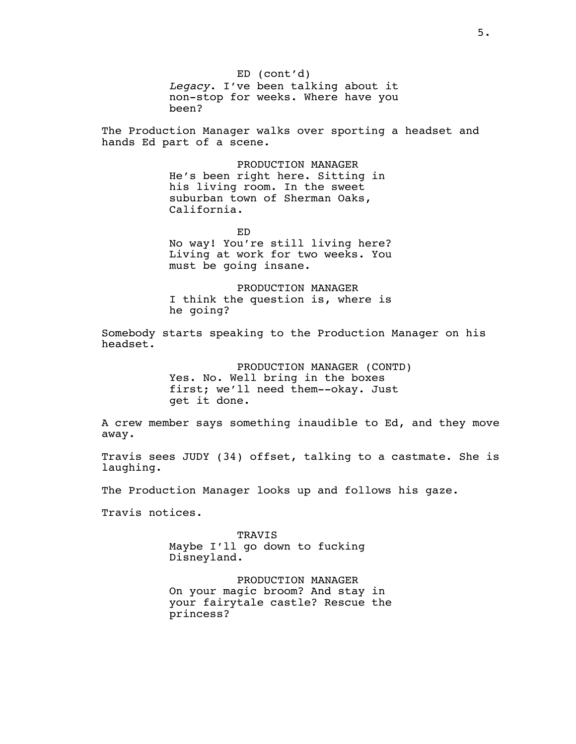ED (cont'd) *Legacy*. I've been talking about it non-stop for weeks. Where have you been?

The Production Manager walks over sporting a headset and hands Ed part of a scene.

> PRODUCTION MANAGER He's been right here. Sitting in his living room. In the sweet suburban town of Sherman Oaks, California.

> > ED

No way! You're still living here? Living at work for two weeks. You must be going insane.

PRODUCTION MANAGER I think the question is, where is he going?

Somebody starts speaking to the Production Manager on his headset.

> PRODUCTION MANAGER (CONTD) Yes. No. Well bring in the boxes first; we'll need them--okay. Just get it done.

A crew member says something inaudible to Ed, and they move away.

Travis sees JUDY (34) offset, talking to a castmate. She is laughing.

The Production Manager looks up and follows his gaze.

Travis notices.

TRAVIS Maybe I'll go down to fucking Disneyland.

PRODUCTION MANAGER On your magic broom? And stay in your fairytale castle? Rescue the princess?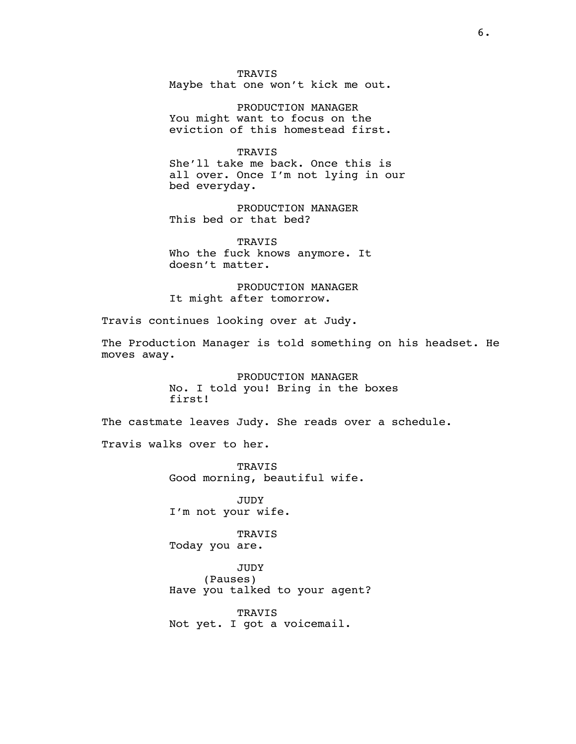TRAVIS Maybe that one won't kick me out.

PRODUCTION MANAGER You might want to focus on the eviction of this homestead first.

**TRAVIS** She'll take me back. Once this is all over. Once I'm not lying in our bed everyday.

PRODUCTION MANAGER This bed or that bed?

TRAVIS Who the fuck knows anymore. It doesn't matter.

PRODUCTION MANAGER It might after tomorrow.

Travis continues looking over at Judy.

The Production Manager is told something on his headset. He moves away.

> PRODUCTION MANAGER No. I told you! Bring in the boxes first!

The castmate leaves Judy. She reads over a schedule.

Travis walks over to her.

TRAVIS Good morning, beautiful wife.

JUDY I'm not your wife.

TRAVIS Today you are.

JUDY (Pauses) Have you talked to your agent?

TRAVIS Not yet. I got a voicemail.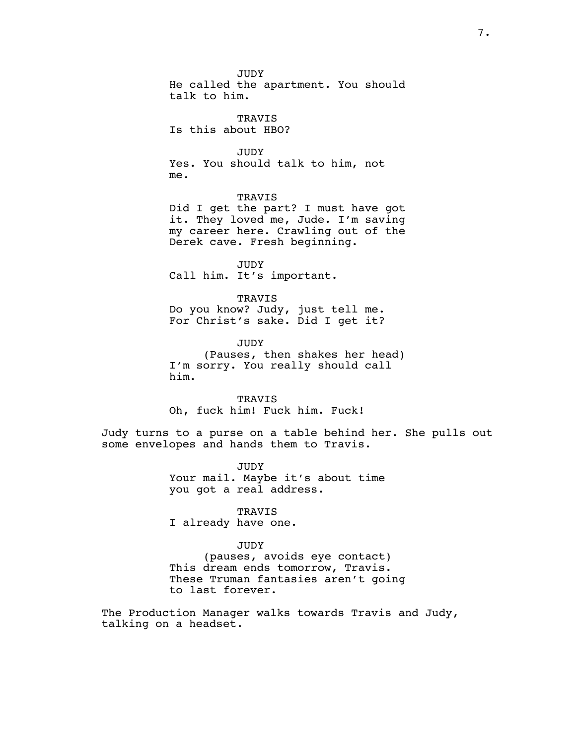JUDY He called the apartment. You should talk to him.

TRAVIS Is this about HBO?

JUDY Yes. You should talk to him, not me.

#### TRAVIS

Did I get the part? I must have got it. They loved me, Jude. I'm saving my career here. Crawling out of the Derek cave. Fresh beginning.

JUDY Call him. It's important.

TRAVIS Do you know? Judy, just tell me. For Christ's sake. Did I get it?

JUDY (Pauses, then shakes her head) I'm sorry. You really should call him.

TRAVIS Oh, fuck him! Fuck him. Fuck!

Judy turns to a purse on a table behind her. She pulls out some envelopes and hands them to Travis.

> JUDY Your mail. Maybe it's about time you got a real address.

TRAVIS I already have one.

## JUDY

(pauses, avoids eye contact) This dream ends tomorrow, Travis. These Truman fantasies aren't going to last forever.

The Production Manager walks towards Travis and Judy, talking on a headset.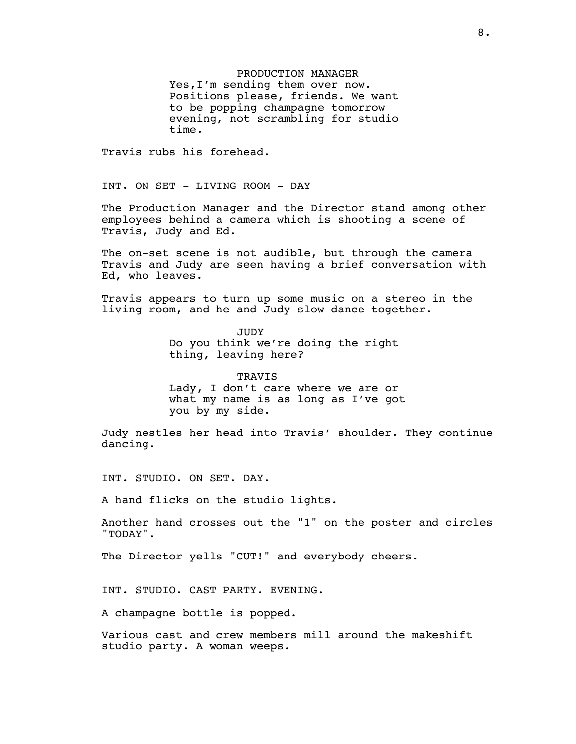PRODUCTION MANAGER Yes,I'm sending them over now. Positions please, friends. We want to be popping champagne tomorrow evening, not scrambling for studio time.

Travis rubs his forehead.

INT. ON SET - LIVING ROOM - DAY

The Production Manager and the Director stand among other employees behind a camera which is shooting a scene of Travis, Judy and Ed.

The on-set scene is not audible, but through the camera Travis and Judy are seen having a brief conversation with Ed, who leaves.

Travis appears to turn up some music on a stereo in the living room, and he and Judy slow dance together.

> JUDY Do you think we're doing the right thing, leaving here?

TRAVIS Lady, I don't care where we are or what my name is as long as I've got you by my side.

Judy nestles her head into Travis' shoulder. They continue dancing.

INT. STUDIO. ON SET. DAY.

A hand flicks on the studio lights.

Another hand crosses out the "1" on the poster and circles "TODAY".

The Director yells "CUT!" and everybody cheers.

INT. STUDIO. CAST PARTY. EVENING.

A champagne bottle is popped.

Various cast and crew members mill around the makeshift studio party. A woman weeps.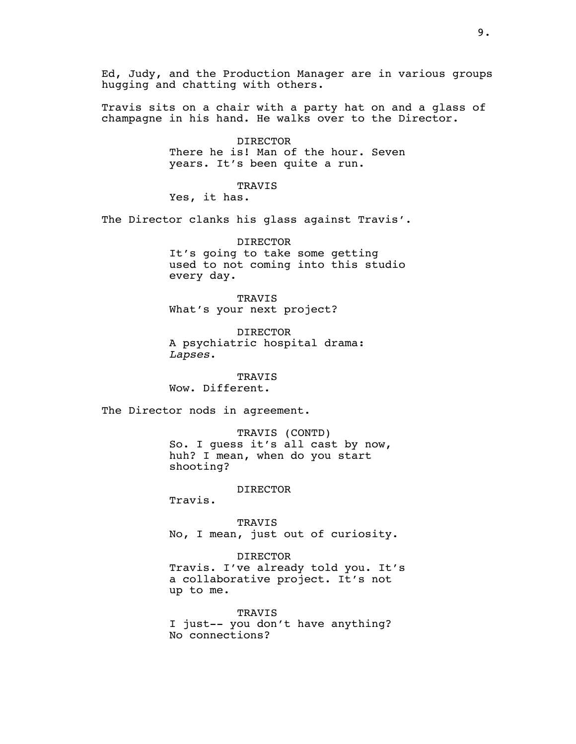Ed, Judy, and the Production Manager are in various groups hugging and chatting with others.

Travis sits on a chair with a party hat on and a glass of champagne in his hand. He walks over to the Director.

> DIRECTOR There he is! Man of the hour. Seven years. It's been quite a run.

TRAVIS Yes, it has.

The Director clanks his glass against Travis'.

DIRECTOR It's going to take some getting used to not coming into this studio every day.

TRAVIS What's your next project?

DIRECTOR A psychiatric hospital drama: *Lapses*.

TRAVIS Wow. Different.

The Director nods in agreement.

TRAVIS (CONTD) So. I guess it's all cast by now, huh? I mean, when do you start shooting?

## DIRECTOR

Travis.

TRAVIS No, I mean, just out of curiosity.

DIRECTOR Travis. I've already told you. It's

a collaborative project. It's not up to me.

TRAVIS I just-- you don't have anything? No connections?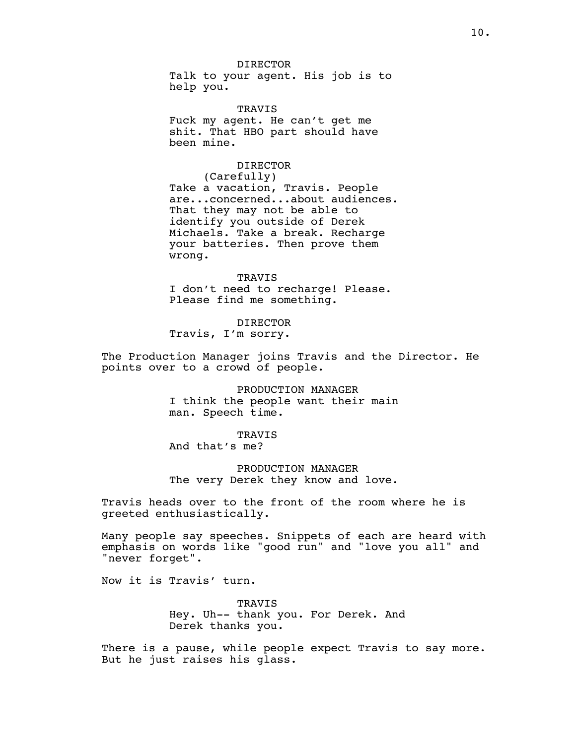DIRECTOR Talk to your agent. His job is to help you.

TRAVIS Fuck my agent. He can't get me shit. That HBO part should have been mine.

## DIRECTOR

(Carefully) Take a vacation, Travis. People are...concerned...about audiences. That they may not be able to identify you outside of Derek Michaels. Take a break. Recharge your batteries. Then prove them wrong.

TRAVIS I don't need to recharge! Please. Please find me something.

DIRECTOR Travis, I'm sorry.

The Production Manager joins Travis and the Director. He points over to a crowd of people.

> PRODUCTION MANAGER I think the people want their main man. Speech time.

# **TRAVIS**

And that's me?

# PRODUCTION MANAGER The very Derek they know and love.

Travis heads over to the front of the room where he is greeted enthusiastically.

Many people say speeches. Snippets of each are heard with emphasis on words like "good run" and "love you all" and "never forget".

Now it is Travis' turn.

**TRAVIS** Hey. Uh-- thank you. For Derek. And Derek thanks you.

There is a pause, while people expect Travis to say more. But he just raises his glass.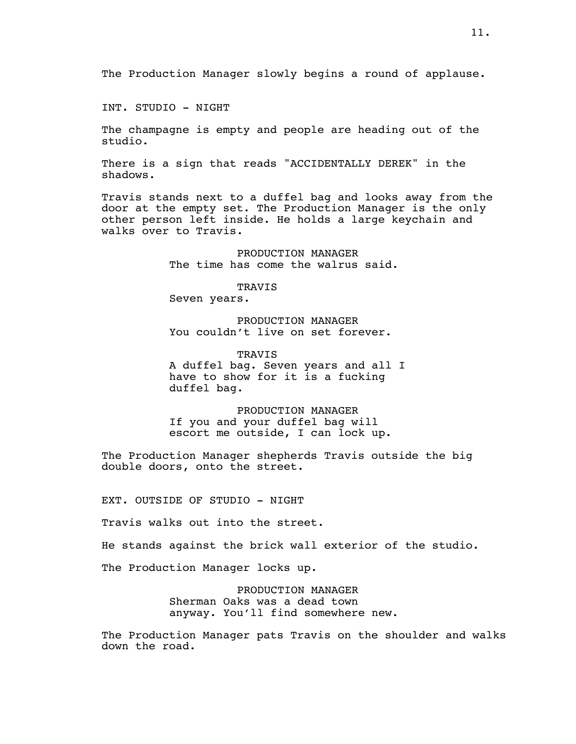INT. STUDIO - NIGHT

The champagne is empty and people are heading out of the studio.

There is a sign that reads "ACCIDENTALLY DEREK" in the shadows.

Travis stands next to a duffel bag and looks away from the door at the empty set. The Production Manager is the only other person left inside. He holds a large keychain and walks over to Travis.

> PRODUCTION MANAGER The time has come the walrus said.

TRAVIS Seven years.

PRODUCTION MANAGER You couldn't live on set forever.

**TRAVIS** A duffel bag. Seven years and all I have to show for it is a fucking duffel bag.

PRODUCTION MANAGER If you and your duffel bag will escort me outside, I can lock up.

The Production Manager shepherds Travis outside the big double doors, onto the street.

EXT. OUTSIDE OF STUDIO - NIGHT

Travis walks out into the street.

He stands against the brick wall exterior of the studio.

The Production Manager locks up.

PRODUCTION MANAGER Sherman Oaks was a dead town anyway. You'll find somewhere new.

The Production Manager pats Travis on the shoulder and walks down the road.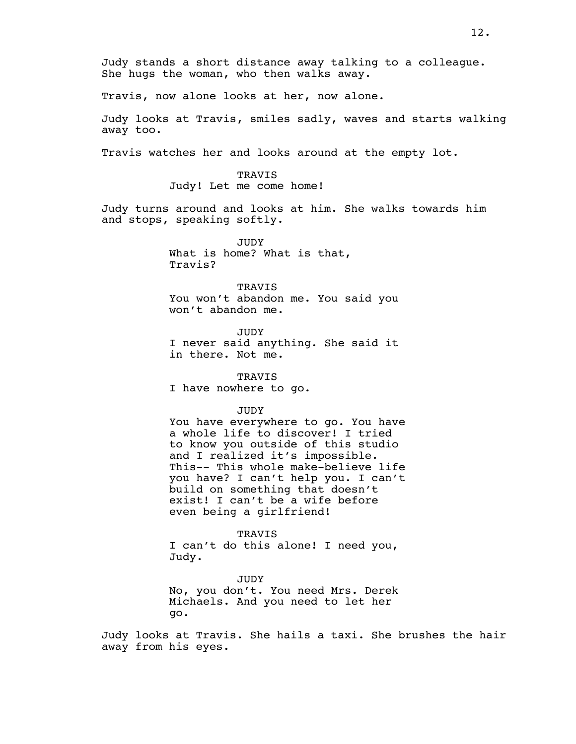Judy stands a short distance away talking to a colleague. She hugs the woman, who then walks away.

Travis, now alone looks at her, now alone.

Judy looks at Travis, smiles sadly, waves and starts walking away too.

Travis watches her and looks around at the empty lot.

TRAVIS Judy! Let me come home!

Judy turns around and looks at him. She walks towards him and stops, speaking softly.

> JUDY What is home? What is that, Travis?

TRAVIS You won't abandon me. You said you won't abandon me.

JUDY I never said anything. She said it in there. Not me.

TRAVIS I have nowhere to go.

### JUDY

You have everywhere to go. You have a whole life to discover! I tried to know you outside of this studio and I realized it's impossible. This-- This whole make-believe life you have? I can't help you. I can't build on something that doesn't exist! I can't be a wife before even being a girlfriend!

## **TRAVIS**

I can't do this alone! I need you, Judy.

JUDY No, you don't. You need Mrs. Derek Michaels. And you need to let her go.

Judy looks at Travis. She hails a taxi. She brushes the hair away from his eyes.